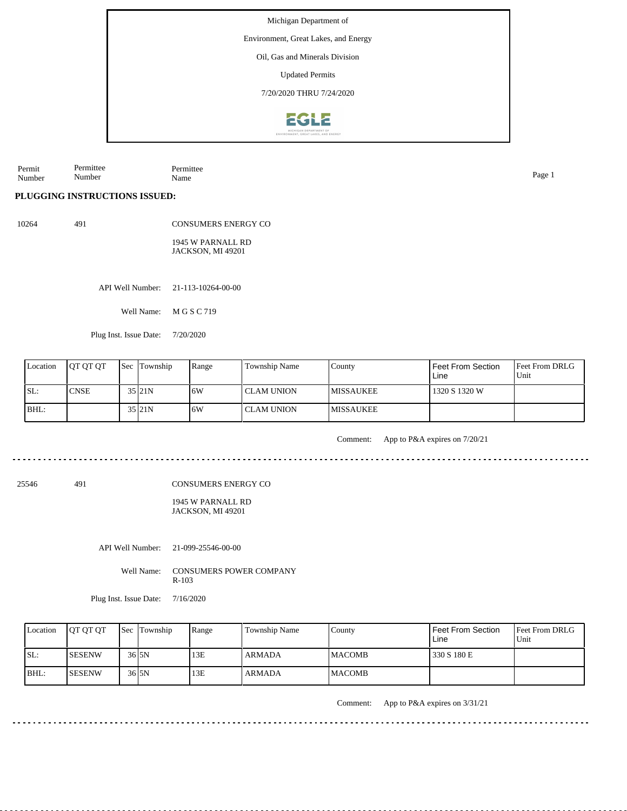Environment, Great Lakes, and Energy

Oil, Gas and Minerals Division

Updated Permits

7/20/2020 THRU 7/24/2020



Permit Number Permittee Number Permittee Name Page 1

**PLUGGING INSTRUCTIONS ISSUED:**

10264 491

CONSUMERS ENERGY CO 1945 W PARNALL RD JACKSON, MI 49201

API Well Number: 21-113-10264-00-00

Well Name: M G S C 719

Plug Inst. Issue Date: 7/20/2020

| Location | <b>IOT OT OT</b> | <b>Sec Township</b> | Range | Township Name | County            | Feet From Section<br>Line | <b>Feet From DRLG</b><br>l Unit |
|----------|------------------|---------------------|-------|---------------|-------------------|---------------------------|---------------------------------|
| SL:      | <b>CNSE</b>      | 35 21N              | 16W   | l CLAM UNION  | <b>IMISSAUKEE</b> | 1320 S 1320 W             |                                 |
| BHL:     |                  | 35 21N              | 16W   | l CLAM UNION  | <b>IMISSAUKEE</b> |                           |                                 |

Comment: App to P&A expires on 7/20/21

25546 491

CONSUMERS ENERGY CO

1945 W PARNALL RD JACKSON, MI 49201

API Well Number: 21-099-25546-00-00

Well Name: CONSUMERS POWER COMPANY R-103

Plug Inst. Issue Date: 7/16/2020

| Location | <b>IOT OT OT</b> | <b>Sec</b> Township | Range | Township Name | County         | Feet From Section<br>Line | <b>Feet From DRLG</b><br>Unit |
|----------|------------------|---------------------|-------|---------------|----------------|---------------------------|-------------------------------|
| SL:      | ISESENW          | 36 <sub>15N</sub>   | 13E   | <b>ARMADA</b> | <b>IMACOMB</b> | 330 S 180 E               |                               |
| BHL      | ISESENW          | 36 <sub>15N</sub>   | 13E   | <b>ARMADA</b> | <b>IMACOMB</b> |                           |                               |

Comment: App to P&A expires on 3/31/21

<u>. . . . . . . . . . . . . . . .</u>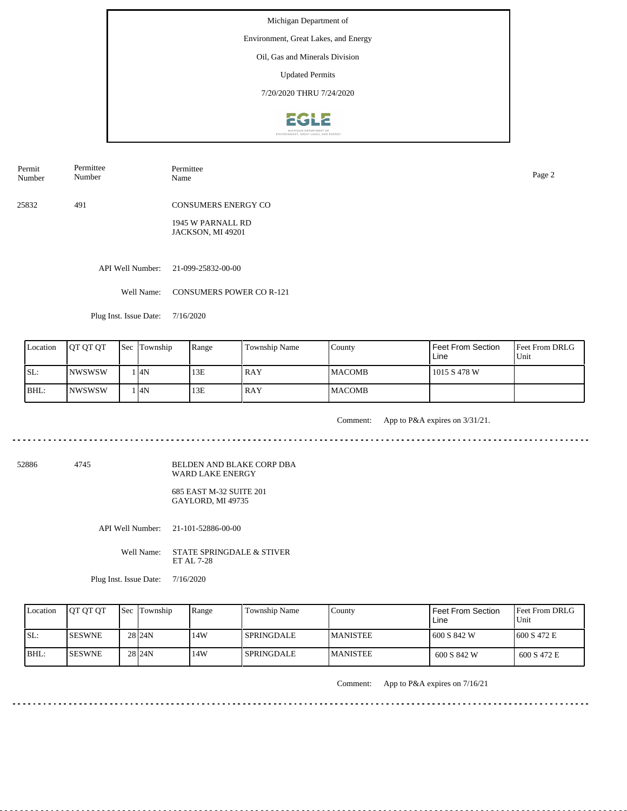Environment, Great Lakes, and Energy

Oil, Gas and Minerals Division

Updated Permits

7/20/2020 THRU 7/24/2020



Permittee

Permit Number

Number

Permittee Name Page 2

25832 491 CONSUMERS ENERGY CO

> 1945 W PARNALL RD JACKSON, MI 49201

API Well Number: 21-099-25832-00-00

Well Name: CONSUMERS POWER CO R-121

Plug Inst. Issue Date: 7/16/2020

| Location | <b>OT OT OT</b> | <b>Sec Township</b> | Range | Township Name | County         | Feet From Section<br>Line | <b>Feet From DRLG</b><br>l Unit |
|----------|-----------------|---------------------|-------|---------------|----------------|---------------------------|---------------------------------|
| ISL:     | INWSWSW         | 1 I4N               | 13E   | l RAY         | <b>IMACOMB</b> | 1015 S 478 W              |                                 |
| BHL:     | INWSWSW         | l I4N               | 13E   | l RAY         | <b>IMACOMB</b> |                           |                                 |

<u>. . . . . . . . . . . . . . . .</u>

Comment: App to P&A expires on 3/31/21.

52886 4745

BELDEN AND BLAKE CORP DBA WARD LAKE ENERGY 685 EAST M-32 SUITE 201

GAYLORD, MI 49735

API Well Number: 21-101-52886-00-00

Well Name: STATE SPRINGDALE & STIVER ET AL 7-28

Plug Inst. Issue Date: 7/16/2020

| Location | <b>JOT OT OT</b> | <b>Sec Township</b> | Range | Township Name     | County           | Feet From Section<br>Line | <b>IFeet From DRLG</b><br>Unit |
|----------|------------------|---------------------|-------|-------------------|------------------|---------------------------|--------------------------------|
| SL:      | <b>ISESWNE</b>   | 28 <sub>24N</sub>   | 14W   | <b>SPRINGDALE</b> | <b>IMANISTEE</b> | 1600 S 842 W              | 1600 S 472 E                   |
| BHL:     | <b>ISESWNE</b>   | 28 <sub>124N</sub>  | 14W   | <b>SPRINGDALE</b> | <b>MANISTEE</b>  | 600 S 842 W               | 600 S 472 E                    |

Comment: App to P&A expires on 7/16/21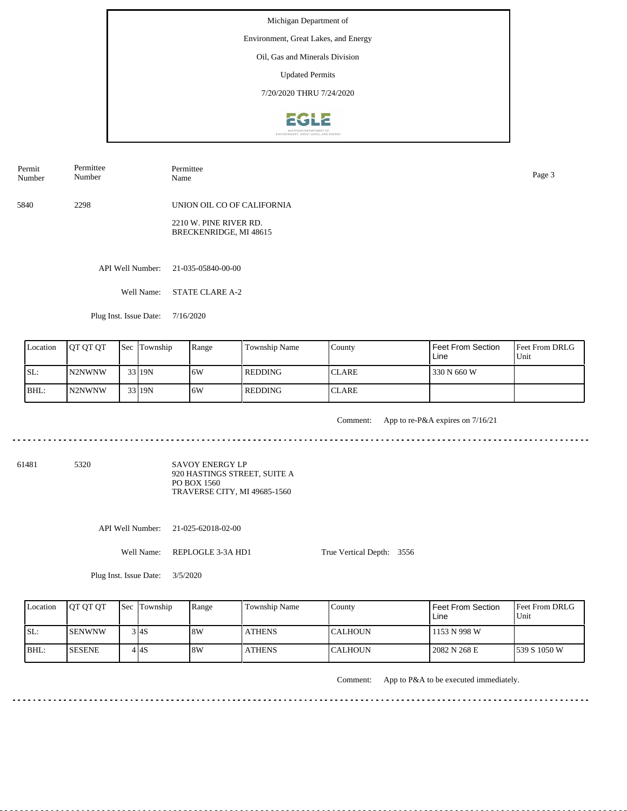Environment, Great Lakes, and Energy

Oil, Gas and Minerals Division

Updated Permits

7/20/2020 THRU 7/24/2020



5840 2298 UNION OIL CO OF CALIFORNIA Permit Number Permittee Number Permittee Name Page 3

> 2210 W. PINE RIVER RD. BRECKENRIDGE, MI 48615

API Well Number: 21-035-05840-00-00

Well Name: STATE CLARE A-2

Plug Inst. Issue Date: 7/16/2020

| Location | <b>OT OT OT</b>     | <b>Sec</b> Township | Range | Township Name  | County        | Feet From Section<br>Line | Feet From DRLG<br>Unit |
|----------|---------------------|---------------------|-------|----------------|---------------|---------------------------|------------------------|
| SL:      | N <sub>2</sub> NWNW | 33 19N              | 16W   | <b>REDDING</b> | <b>ICLARE</b> | 330 N 660 W               |                        |
| BHL:     | N <sub>2</sub> NWNW | 33 19N              | 16W   | <b>REDDING</b> | <b>ICLARE</b> |                           |                        |

<u>. . . . . . . . .</u>

Comment: App to re-P&A expires on 7/16/21

61481 5320

SAVOY ENERGY LP 920 HASTINGS STREET, SUITE A PO BOX 1560 TRAVERSE CITY, MI 49685-1560

API Well Number: 21-025-62018-02-00

Well Name: REPLOGLE 3-3A HD1

True Vertical Depth: 3556

Plug Inst. Issue Date: 3/5/2020

| Location | <b>IOT OT OT</b> | <b>Sec Township</b> | Range | Township Name | County           | Feet From Section<br>Line | Feet From DRLG<br>Unit |
|----------|------------------|---------------------|-------|---------------|------------------|---------------------------|------------------------|
| ISL:     | ISENWNW          | 3 I4S               | 8W    | <b>ATHENS</b> | <b>I</b> CALHOUN | 1153 N 998 W              |                        |
| BHL:     | <b>ISESENE</b>   | 4 I 4 S             | 8W    | <b>ATHENS</b> | <b>I</b> CALHOUN | 2082 N 268 E              | 1539 S 1050 W          |

Comment: App to P&A to be executed immediately.

 $- - - - - - -$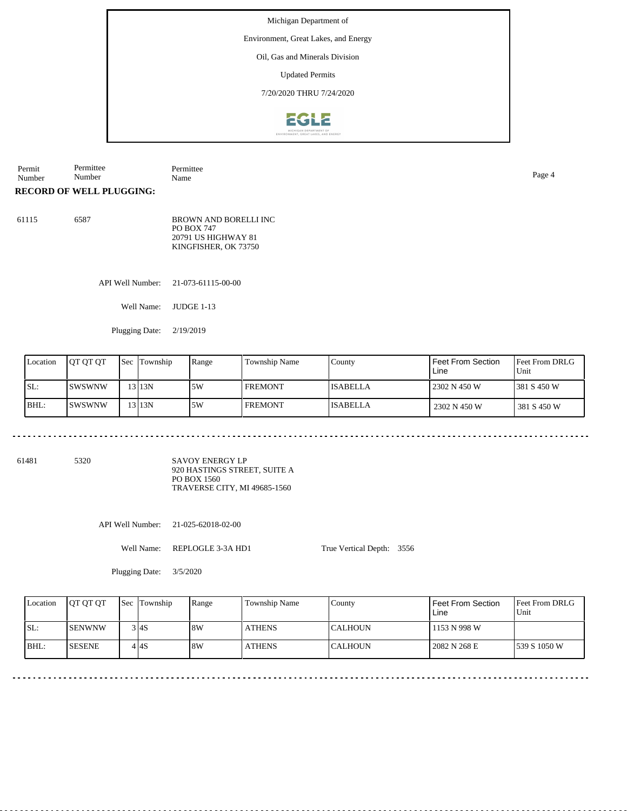Environment, Great Lakes, and Energy

Oil, Gas and Minerals Division

Updated Permits

7/20/2020 THRU 7/24/2020



Permit Number Permittee Number Permittee Name Page 4

## **RECORD OF WELL PLUGGING:**

| 61115 | 6587 | <b>BROWN AND BORELLI INC</b> |
|-------|------|------------------------------|
|       |      | <b>PO BOX 747</b>            |
|       |      | 20791 US HIGHWAY 81          |
|       |      | KINGFISHER, OK 73750         |

API Well Number: 21-073-61115-00-00

Well Name: JUDGE 1-13

Plugging Date: 2/19/2019

| Location | IOT OT OT | <b>Sec</b> | Township  | Range | <b>Township Name</b> | County          | l Feet From Section<br>Line | <b>IFeet From DRLG</b><br>Unit |
|----------|-----------|------------|-----------|-------|----------------------|-----------------|-----------------------------|--------------------------------|
| SL:      | ISWSWNW   |            | 13 1 13 N | 5W    | <b>FREMONT</b>       | <b>ISABELLA</b> | 2302 N 450 W                | 1381 S 450 W                   |
| BHL:     | ISWSWNW   |            | 13 1 13 N | 5W    | <b>FREMONT</b>       | <b>ISABELLA</b> | 2302 N 450 W                | 381 S 450 W                    |

61481 5320

SAVOY ENERGY LP 920 HASTINGS STREET, SUITE A PO BOX 1560 TRAVERSE CITY, MI 49685-1560

API Well Number: 21-025-62018-02-00

Well Name: REPLOGLE 3-3A HD1

True Vertical Depth: 3556

Plugging Date: 3/5/2020

| Location | <b>OT OT OT</b> | <b>Sec</b> Township | Range | Township Name | County           | Feet From Section<br>Line | <b>Feet From DRLG</b><br>Unit |
|----------|-----------------|---------------------|-------|---------------|------------------|---------------------------|-------------------------------|
| SL:      | <b>ISENWNW</b>  | 3 4S                | 8W    | <b>ATHENS</b> | ICALHOUN         | 1153 N 998 W              |                               |
| $IBHL$ : | <b>ISESENE</b>  | 4 I 4 S             | 8W    | <b>ATHENS</b> | <b>I</b> CALHOUN | 2082 N 268 E              | 1539 S 1050 W                 |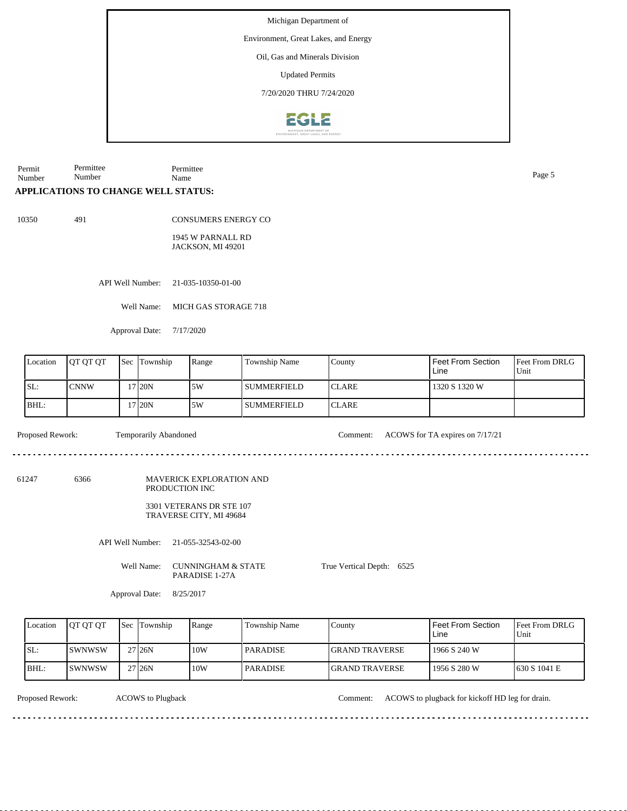Environment, Great Lakes, and Energy

Oil, Gas and Minerals Division

Updated Permits

7/20/2020 THRU 7/24/2020



Permit Number Permittee Number Permittee Name Page 5

## **APPLICATIONS TO CHANGE WELL STATUS:**

10350 491

CONSUMERS ENERGY CO

1945 W PARNALL RD JACKSON, MI 49201

API Well Number: 21-035-10350-01-00

Well Name: MICH GAS STORAGE 718

Approval Date: 7/17/2020

| Location | <b>OT OT OT</b> | <b>Sec</b> Township | Range | <b>Township Name</b> | County        | Feet From Section<br>Line | <b>Feet From DRLG</b><br>Unit |
|----------|-----------------|---------------------|-------|----------------------|---------------|---------------------------|-------------------------------|
| ISL:     | <b>CNNW</b>     | 17 I20N             | 5W    | l summerfield        | <b>ICLARE</b> | 1320 S 1320 W             |                               |
| BHL:     |                 | 17 I20N             | 15W   | <b>SUMMERFIELD</b>   | <b>ICLARE</b> |                           |                               |

<u>. . . . . . . . . . . . . . . . . .</u>

Proposed Rework: Temporarily Abandoned Comment: ACOWS for TA expires on 7/17/21

61247 6366 MAVERICK EXPLORATION AND PRODUCTION INC

> 3301 VETERANS DR STE 107 TRAVERSE CITY, MI 49684

API Well Number: 21-055-32543-02-00

Well Name: CUNNINGHAM & STATE PARADISE 1-27A

True Vertical Depth: 6525

Approval Date: 8/25/2017

| Location | <b>IOT OT OT</b> | <b>Sec Township</b> | Range | Township Name | County                 | Feet From Section<br>Line | <b>IFeet From DRLG</b><br>Unit |
|----------|------------------|---------------------|-------|---------------|------------------------|---------------------------|--------------------------------|
| SL:      | ISWNWSW          | 27 <sub>126</sub> N | 10W   | l PARADISE.   | <b>IGRAND TRAVERSE</b> | 1966 S 240 W              |                                |
| BHL:     | ISWNWSW          | 27 <sub>126</sub> N | 10W   | l PARADISE.   | <b>IGRAND TRAVERSE</b> | 1956 S 280 W              | 1630 S 1041 E                  |

ACOWS to Plugback

Proposed Rework: ACOWS to Plugback Comment: ACOWS to plugback for kickoff HD leg for drain.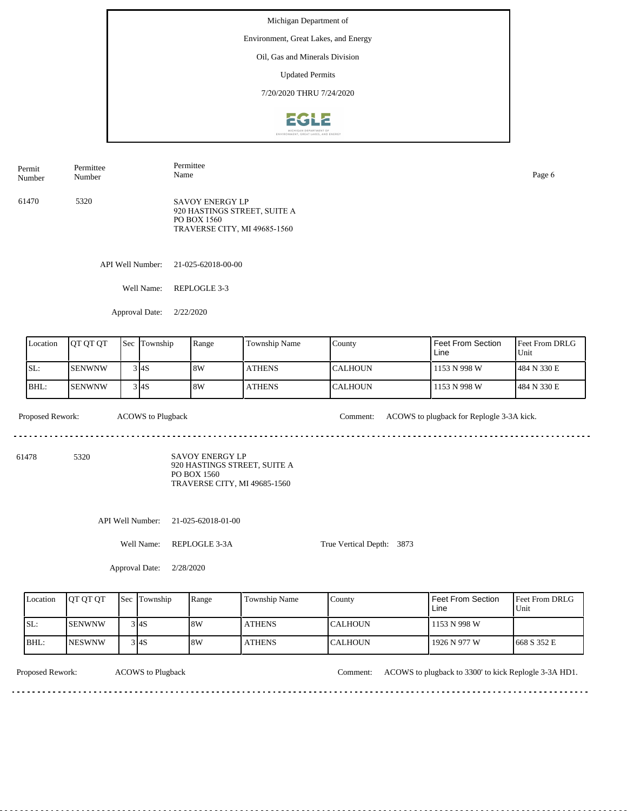Michigan Department of Environment, Great Lakes, and Energy Oil, Gas and Minerals Division Updated Permits 7/20/2020 THRU 7/24/2020 2612

Permit Number Permittee Number Permittee Name SAVOY ENERGY LP 920 HASTINGS STREET, SUITE A PO BOX 1560 TRAVERSE CITY, MI 49685-1560 61470 5320

API Well Number: 21-025-62018-00-00

Well Name: REPLOGLE 3-3

Approval Date: 2/22/2020

| Location | OT OT OT       | Sec Township | Range | Township Name | <b>County</b>  | I Feet From Section<br>Line | $\blacksquare$ Feet From DRLG<br>Unit |
|----------|----------------|--------------|-------|---------------|----------------|-----------------------------|---------------------------------------|
| SL:      | <b>SENWNW</b>  | 3 I4S        | 18W   | <b>ATHENS</b> | <b>CALHOUN</b> | 1153 N 998 W                | 484 N 330 E                           |
| BHL:     | <b>ISENWNW</b> | 3 I4S        | 8W    | <b>ATHENS</b> | <b>CALHOUN</b> | 1153 N 998 W                | 484 N 330 E                           |

 $\frac{1}{2} \left( \frac{1}{2} \right) \left( \frac{1}{2} \right) \left( \frac{1}{2} \right) \left( \frac{1}{2} \right) \left( \frac{1}{2} \right)$ 

Proposed Rework: ACOWS to Plugback Comment: ACOWS to plugback for Replogle 3-3A kick.

Page 6

61478 5320

SAVOY ENERGY LP 920 HASTINGS STREET, SUITE A PO BOX 1560 TRAVERSE CITY, MI 49685-1560

API Well Number: 21-025-62018-01-00

Well Name: REPLOGLE 3-3A

Approval Date: 2/28/2020

True Vertical Depth: 3873

| Location | <b>OT OT OT</b> | <b>Sec Township</b> | Range | Township Name | County           | <sup>1</sup> Feet From Section<br>Line | Feet From DRLG<br>'Unit |
|----------|-----------------|---------------------|-------|---------------|------------------|----------------------------------------|-------------------------|
| ISL:     | <b>SENWNW</b>   | 3 I4S               | 8W    | <b>ATHENS</b> | <b>ICALHOUN</b>  | 1153 N 998 W                           |                         |
| BHL:     | <b>NESWNW</b>   | 3 I4S               | 8W    | <b>ATHENS</b> | <b>I</b> CALHOUN | 1926 N 977 W                           | 1668 S 352 E            |

ACOWS to Plugback

Proposed Rework: ACOWS to Plugback to 2300' to kick Replogle 3-3A HD1.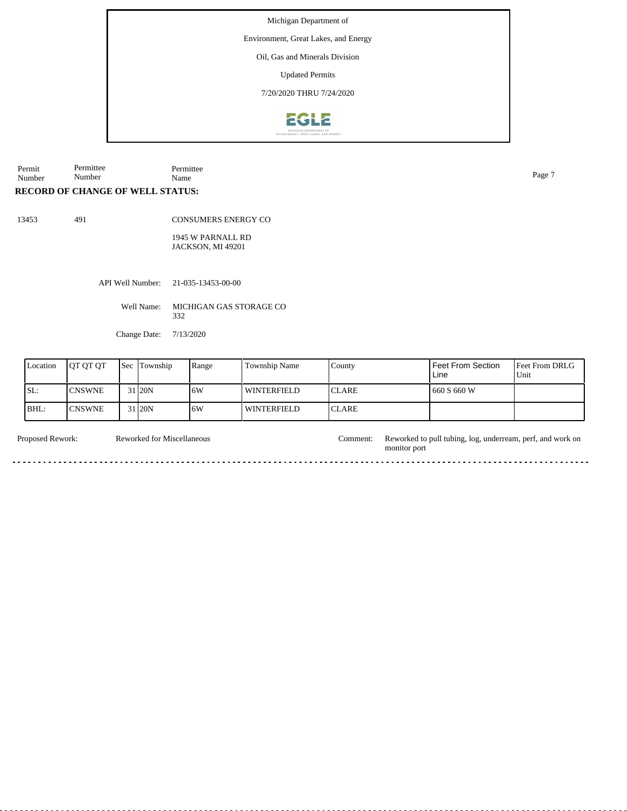Environment, Great Lakes, and Energy

Oil, Gas and Minerals Division

Updated Permits

7/20/2020 THRU 7/24/2020



Permit Number Permittee Number Permittee Name Page 7

## **RECORD OF CHANGE OF WELL STATUS:**

13453 491

CONSUMERS ENERGY CO

1945 W PARNALL RD JACKSON, MI 49201

API Well Number: 21-035-13453-00-00

Well Name: MICHIGAN GAS STORAGE CO 332

Change Date: 7/13/2020

| Location | <b>OT OT OT</b> | <b>Sec</b> | Township | Range | <b>Township Name</b> | County        | l Feet From Section<br>Line | <b>Feet From DRLG</b><br>Unit |
|----------|-----------------|------------|----------|-------|----------------------|---------------|-----------------------------|-------------------------------|
| SL:      | <b>CNSWNE</b>   |            | 31 20N   | 16W   | <b>WINTERFIELD</b>   | <b>ICLARE</b> | 660 S 660 W                 |                               |
| BHL:     | <b>CNSWNE</b>   |            | 31 20N   | 16W   | <b>WINTERFIELD</b>   | <b>ICLARE</b> |                             |                               |

Reworked for Miscellaneous

Proposed Rework: Reworked for Miscellaneous Comment: Reworked to pull tubing, log, underream, perf, and work on monitor port

<u>. . . . . . . . . . . . . . . .</u>

 $\sim$   $\sim$ 

 $- - - -$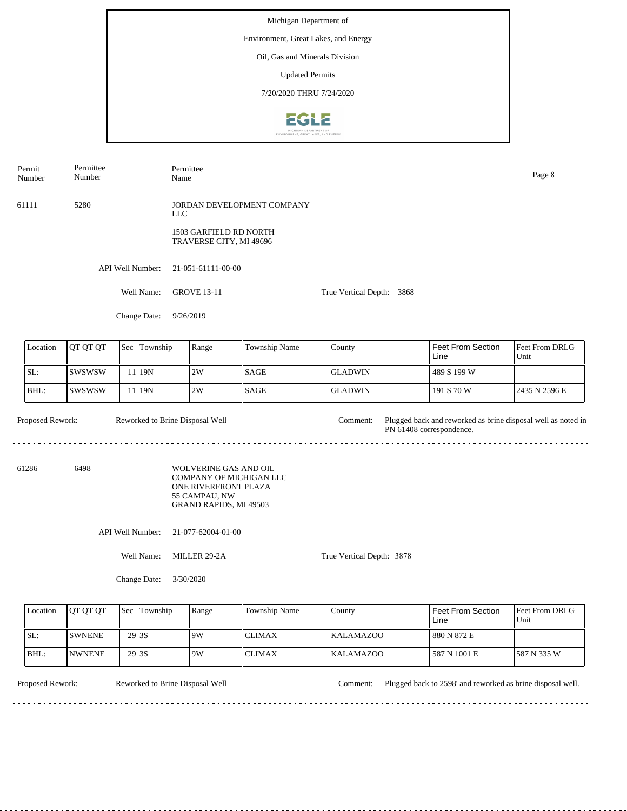Environment, Great Lakes, and Energy

Oil, Gas and Minerals Division

Updated Permits

7/20/2020 THRU 7/24/2020



Permittee Permit Permittee Name Page 8 Number Number 61111 5280 JORDAN DEVELOPMENT COMPANY LLC 1503 GARFIELD RD NORTH TRAVERSE CITY, MI 49696 API Well Number: 21-051-61111-00-00 Well Name: GROVE 13-11 True Vertical Depth: 3868 Change Date: 9/26/2019 Location | QT QT QT | Sec | Township | Range | Township Name Sec Township County Feet From Section Feet From DRLG Line Unit SL: SWSWSW GLADWIN 2W SAGE 489 S 199 W 11 19N BHL: SWSWSW 19N 2W SAGE GLADWIN 191 S 70 W 2435 N 2596 E 11 Proposed Rework: Reworked to Brine Disposal Well Comment: Plugged back and reworked as brine disposal well as noted in Reworked to Brine Disposal Well Comment: PN 61408 correspondence. 61286 6498 WOLVERINE GAS AND OIL COMPANY OF MICHIGAN LLC ONE RIVERFRONT PLAZA 55 CAMPAU, NW GRAND RAPIDS, MI 49503 API Well Number: 21-077-62004-01-00 Well Name: MILLER 29-2A True Vertical Depth: 3878

Change Date: 3/30/2020

| Location | <b>IOT OT OT</b> |                    | <b>Sec</b> Township | Range | Township Name | County            | l Feet From Section<br>Line | <b>Feet From DRLG</b><br>Unit |
|----------|------------------|--------------------|---------------------|-------|---------------|-------------------|-----------------------------|-------------------------------|
| ISL:     | <b>ISWNENE</b>   | 29 <sub>3S</sub>   |                     | 9W    | l CLIMAX      | <b>IKALAMAZOO</b> | 880 N 872 E                 |                               |
| BHL:     | <b>INWNENE</b>   | 29 <sub>13</sub> S |                     | 9W    | <b>CLIMAX</b> | <b>KALAMAZOO</b>  | 1587 N 1001 E               | 1587 N 335 W                  |

Reworked to Brine Disposal Well

Proposed Rework: Reworked to Brine Disposal Well Comment: Plugged back to 2598' and reworked as brine disposal well.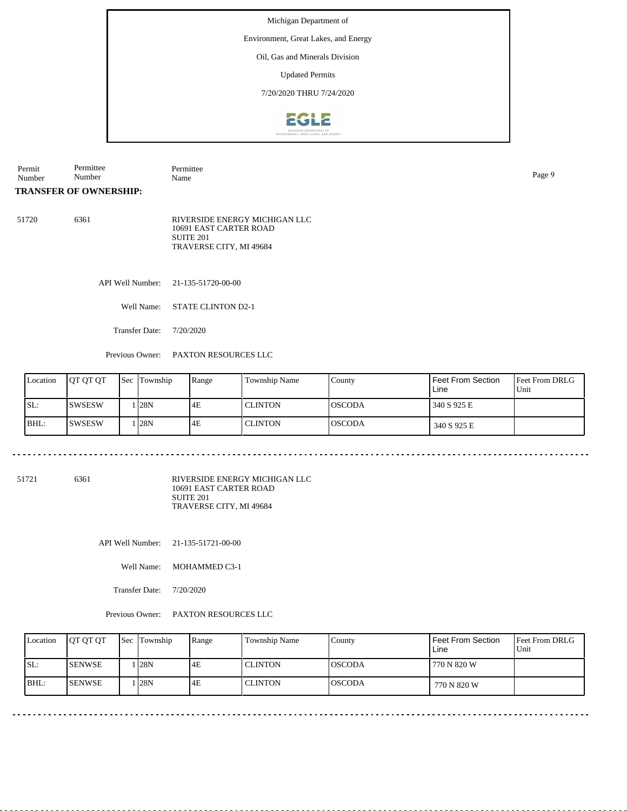Environment, Great Lakes, and Energy

Oil, Gas and Minerals Division

Updated Permits

7/20/2020 THRU 7/24/2020



Permit Number Permittee Number Permittee Name Page 9

**TRANSFER OF OWNERSHIP:**

51720 6361 RIVERSIDE ENERGY MICHIGAN LLC 10691 EAST CARTER ROAD SUITE 201 TRAVERSE CITY, MI 49684

API Well Number: 21-135-51720-00-00

Well Name: STATE CLINTON D2-1

Transfer Date: 7/20/2020

<u>. . . . . . . . . . . . . . . . .</u>

Previous Owner: PAXTON RESOURCES LLC

| Location | <b>IOT OT OT</b> | <b>Sec</b> Township | Range | Township Name  | County         | <b>Feet From Section</b><br>Line | <b>Feet From DRLG</b><br>Unit |
|----------|------------------|---------------------|-------|----------------|----------------|----------------------------------|-------------------------------|
| ISL:     | <b>ISWSESW</b>   | 1 I28N              | 4E    | <b>CLINTON</b> | <b>IOSCODA</b> | 340 S 925 E                      |                               |
| BHL:     | ISWSESW          | 1 I28N              | 4E    | <b>CLINTON</b> | <b>IOSCODA</b> | 340 S 925 E                      |                               |

51721 6361

RIVERSIDE ENERGY MICHIGAN LLC 10691 EAST CARTER ROAD SUITE 201 TRAVERSE CITY, MI 49684

API Well Number: 21-135-51721-00-00

Well Name: MOHAMMED C3-1

Transfer Date: 7/20/2020

Previous Owner: PAXTON RESOURCES LLC

| Location | JOT OT OT       | Sec Township | Range | Township Name | County        | <b>Feet From Section</b><br>Line | <b>Feet From DRLG</b><br>Unit |
|----------|-----------------|--------------|-------|---------------|---------------|----------------------------------|-------------------------------|
| SL:      | <b>I</b> SENWSE | . 128N       | 4E    | l CLINTON     | IOSCODA       | 770 N 820 W                      |                               |
| BHL      | ISENWSE         | 128N         | 4E    | l CLINTON     | <b>OSCODA</b> | 770 N 820 W                      |                               |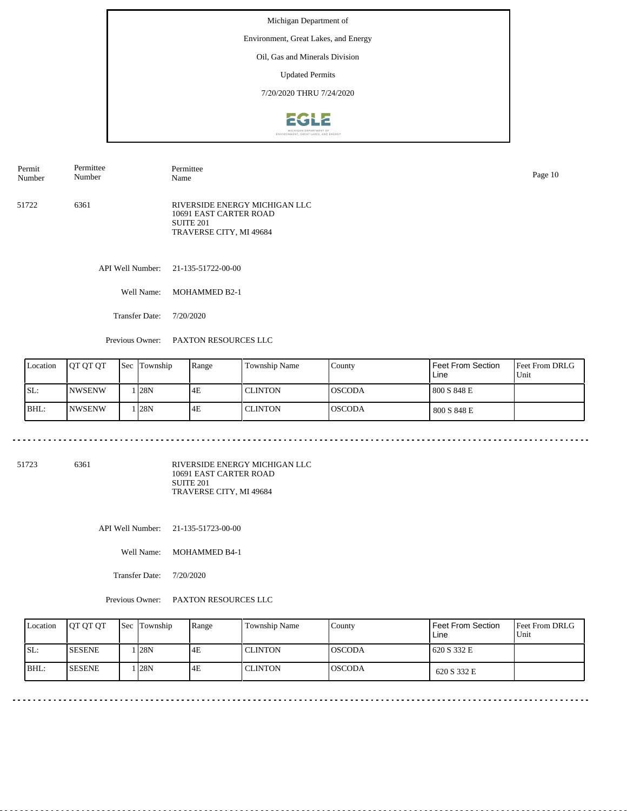Environment, Great Lakes, and Energy

Oil, Gas and Minerals Division

Updated Permits

7/20/2020 THRU 7/24/2020



| Permit<br>Number | Permittee<br>Number | Permittee<br>Name                                                                                          | Page 10 |
|------------------|---------------------|------------------------------------------------------------------------------------------------------------|---------|
| 51722            | 6361                | RIVERSIDE ENERGY MICHIGAN LLC<br>10691 EAST CARTER ROAD<br>SUITE <sub>201</sub><br>TRAVERSE CITY, MI 49684 |         |
|                  |                     | API Well Number: 21-135-51722-00-00                                                                        |         |

Well Name: MOHAMMED B2-1

Transfer Date: 7/20/2020

Previous Owner: PAXTON RESOURCES LLC

 $\sim$   $\sim$   $\sim$   $\sim$ 

| Location | <b>IOT OT OT</b> | <b>Sec Township</b> | Range | Township Name  | County         | Feet From Section<br>Line | <b>Feet From DRLG</b><br>Unit |
|----------|------------------|---------------------|-------|----------------|----------------|---------------------------|-------------------------------|
| ISL:     | <b>NWSENW</b>    | l <b>1</b> 28N      | 4E    | <b>CLINTON</b> | <b>IOSCODA</b> | 800 S 848 E               |                               |
| BHL:     | <b>NWSENW</b>    | 1 I28N              | 4E    | <b>CLINTON</b> | <b>IOSCODA</b> | 800 S 848 E               |                               |

51723 6361

RIVERSIDE ENERGY MICHIGAN LLC 10691 EAST CARTER ROAD SUITE 201 TRAVERSE CITY, MI 49684

API Well Number: 21-135-51723-00-00

<u>. . . . . . . . . . . .</u>

Well Name: MOHAMMED B4-1

Transfer Date: 7/20/2020

Previous Owner: PAXTON RESOURCES LLC

| Location | <b>OT QT QT</b> | <b>Sec</b> Township | Range | Township Name  | County         | Feet From Section<br>Line | <b>Feet From DRLG</b><br>l Unit |
|----------|-----------------|---------------------|-------|----------------|----------------|---------------------------|---------------------------------|
| SL:      | <b>ISESENE</b>  | 128N                | 4E    | <b>CLINTON</b> | IOSCODA        | 620 S 332 E               |                                 |
| BHL:     | <b>ISESENE</b>  | . 128N              | 4E    | l CLINTON      | <b>loscoda</b> | 620 S 332 E               |                                 |

\_\_\_\_\_\_\_\_\_\_\_\_\_\_\_\_\_\_\_\_\_\_\_\_\_\_\_\_\_\_\_\_\_\_\_\_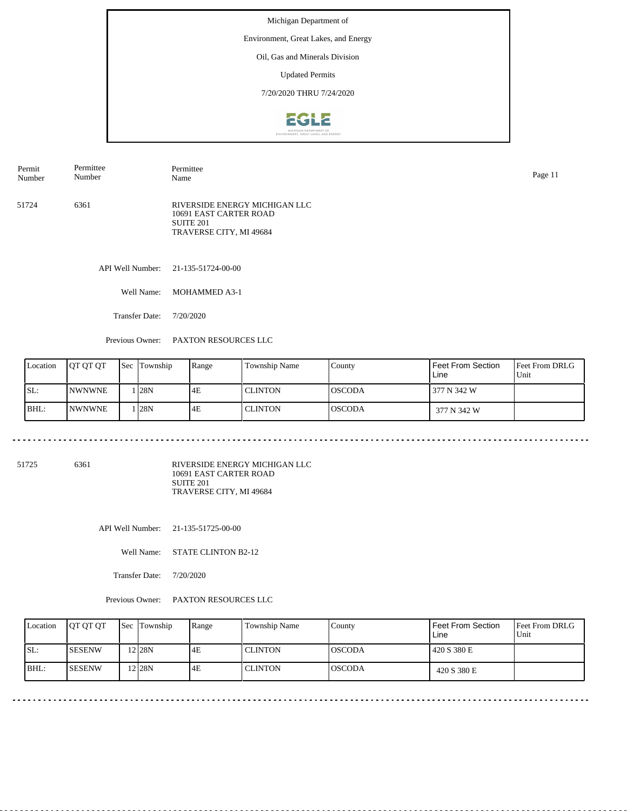Environment, Great Lakes, and Energy

Oil, Gas and Minerals Division

Updated Permits

7/20/2020 THRU 7/24/2020



| Permit<br>Number | Permittee<br>Number | Permittee<br>Name                                                                               | Page 11 |
|------------------|---------------------|-------------------------------------------------------------------------------------------------|---------|
| 51724            | 6361                | RIVERSIDE ENERGY MICHIGAN LLC<br>10691 EAST CARTER ROAD<br>SUITE 201<br>TRAVERSE CITY, MI 49684 |         |
|                  | API Well Number:    | 21-135-51724-00-00                                                                              |         |

Well Name: MOHAMMED A3-1

Transfer Date: 7/20/2020

Previous Owner: PAXTON RESOURCES LLC

|     | Location | <b>OT OT OT</b> | <b>Sec Township</b> | Range | Township Name | County          | Feet From Section<br>Line | <b>Feet From DRLG</b><br>Unit |
|-----|----------|-----------------|---------------------|-------|---------------|-----------------|---------------------------|-------------------------------|
| SL: |          | <b>INWNWNE</b>  | . 128N              | 4E    | l CLINTON     | IOSCODA         | 377 N 342 W               |                               |
|     | BHL:     | <b>INWNWNE</b>  | . 128N              | 4E    | l CLINTON     | <b>l</b> OSCODA | 377 N 342 W               |                               |

51725 6361

RIVERSIDE ENERGY MICHIGAN LLC 10691 EAST CARTER ROAD SUITE 201 TRAVERSE CITY, MI 49684

API Well Number: 21-135-51725-00-00

Well Name: STATE CLINTON B2-12

Transfer Date: 7/20/2020

Previous Owner: PAXTON RESOURCES LLC

| Location | <b>OT QT QT</b> | <b>Sec</b> Township | Range | Township Name | County         | Feet From Section<br>Line | <b>Feet From DRLG</b><br>l Unit |
|----------|-----------------|---------------------|-------|---------------|----------------|---------------------------|---------------------------------|
| SL:      | <b>ISESENW</b>  | 2 <sub>28N</sub>    | 4E    | l CLINTON     | IOSCODA        | 420 S 380 E               |                                 |
| BHL:     | <b>ISESENW</b>  | 2 28N               | 4E    | l CLINTON     | <b>loscoda</b> | 420 S 380 E               |                                 |

\_\_\_\_\_\_\_\_\_\_\_\_\_\_\_\_\_\_\_\_\_\_\_\_\_\_\_\_\_\_\_\_\_\_\_\_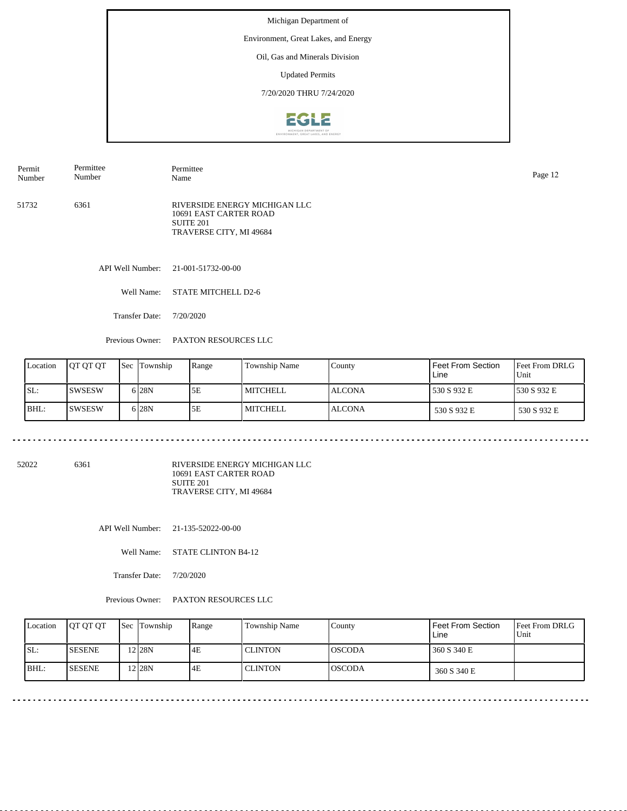Environment, Great Lakes, and Energy

Oil, Gas and Minerals Division

Updated Permits

7/20/2020 THRU 7/24/2020



| Permit<br>Number | Permittee<br>Number | Permittee<br>Name                                                                               | Page 12 |
|------------------|---------------------|-------------------------------------------------------------------------------------------------|---------|
| 51732            | 6361                | RIVERSIDE ENERGY MICHIGAN LLC<br>10691 EAST CARTER ROAD<br>SUITE 201<br>TRAVERSE CITY, MI 49684 |         |

API Well Number: 21-001-51732-00-00

Well Name: STATE MITCHELL D2-6

Transfer Date: 7/20/2020

المتحدث المتحدث المتحدث

Previous Owner: PAXTON RESOURCES LLC

|      | Location | <b>IOT OT OT</b> | <b>Sec Township</b> | Range | <b>Township Name</b> | County        | Feet From Section<br>Line | <b>Feet From DRLG</b><br>Unit |
|------|----------|------------------|---------------------|-------|----------------------|---------------|---------------------------|-------------------------------|
| SL:  |          | <b>ISWSESW</b>   | 6 <sub>28N</sub>    | 5E    | MITCHELL             | LALCONA       | 530 S 932 E               | 1530 S 932 E                  |
| BHL: |          | <b>SWSESW</b>    | 6 <sub>28</sub> N   | 5Ε    | <b>MITCHELL</b>      | <b>ALCONA</b> | 530 S 932 E               | 530 S 932 E                   |

52022 6361

RIVERSIDE ENERGY MICHIGAN LLC 10691 EAST CARTER ROAD SUITE 201 TRAVERSE CITY, MI 49684

API Well Number: 21-135-52022-00-00

Well Name: STATE CLINTON B4-12

Transfer Date: 7/20/2020

Previous Owner: PAXTON RESOURCES LLC

| Location | <b>OT QT QT</b> | <b>Sec</b> Township | Range | Township Name | County         | Feet From Section<br>Line | <b>Feet From DRLG</b><br>l Unit |
|----------|-----------------|---------------------|-------|---------------|----------------|---------------------------|---------------------------------|
| ISL:     | <b>SESENE</b>   | $2$ 28N             | 4E    | l CLINTON     | IOSCODA        | 360 S 340 E               |                                 |
| BHL:     | <b>SESENE</b>   | 2 28N               | 4E    | l CLINTON     | <b>loscoda</b> | 360 S 340 E               |                                 |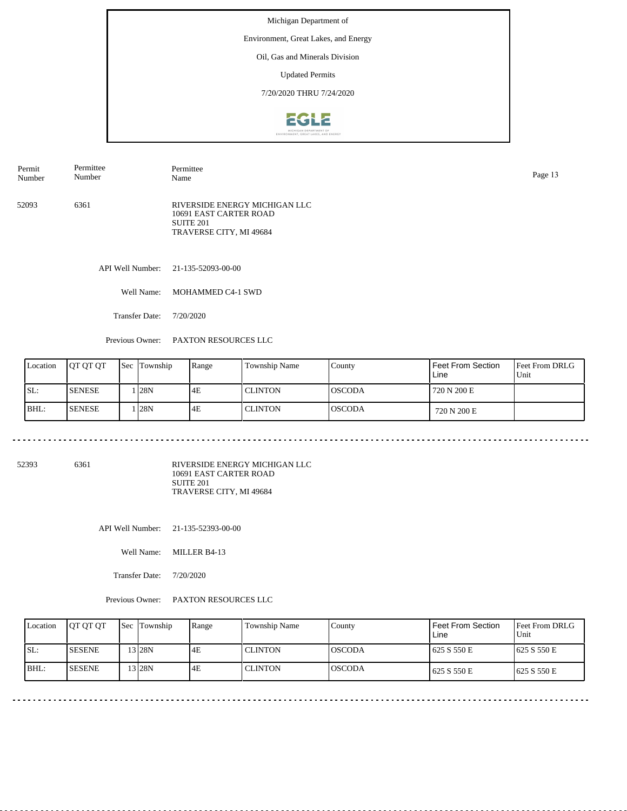Environment, Great Lakes, and Energy

Oil, Gas and Minerals Division

Updated Permits

7/20/2020 THRU 7/24/2020



| Permit | Permittee | Permittee                                                                                       | Page 13 |
|--------|-----------|-------------------------------------------------------------------------------------------------|---------|
| Number | Number    | Name                                                                                            |         |
| 52093  | 6361      | RIVERSIDE ENERGY MICHIGAN LLC<br>10691 EAST CARTER ROAD<br>SUITE 201<br>TRAVERSE CITY, MI 49684 |         |

API Well Number: 21-135-52093-00-00

Well Name: MOHAMMED C4-1 SWD

Transfer Date: 7/20/2020

المتحدث المتحدث المتحدث

Previous Owner: PAXTON RESOURCES LLC

| Location | <b>OT OT OT</b> | <b>Sec Township</b> | Range | Township Name  | County         | <b>Feet From Section</b><br>Line | <b>Feet From DRLG</b><br>Unit |
|----------|-----------------|---------------------|-------|----------------|----------------|----------------------------------|-------------------------------|
| ISL:     | <b>ISENESE</b>  | 1 I28N              | 4E    | <b>CLINTON</b> | <b>IOSCODA</b> | 720 N 200 E                      |                               |
| BHL:     | <b>ISENESE</b>  | 1 I28N              | 4E    | <b>CLINTON</b> | <b>IOSCODA</b> | 720 N 200 E                      |                               |

52393 6361

RIVERSIDE ENERGY MICHIGAN LLC 10691 EAST CARTER ROAD SUITE 201 TRAVERSE CITY, MI 49684

API Well Number: 21-135-52393-00-00

Well Name: MILLER B4-13

Transfer Date: 7/20/2020

Previous Owner: PAXTON RESOURCES LLC

| Location | <b>JOT OT OT</b> | <b>Sec Township</b> | Range | Township Name  | County         | Feet From Section<br>Line | <b>Feet From DRLG</b><br>l Unit |
|----------|------------------|---------------------|-------|----------------|----------------|---------------------------|---------------------------------|
| SL:      | <b>ISESENE</b>   | 3 28N               | 4E    | <b>CLINTON</b> | IOSCODA        | 625 S 550 E               | 1625 S 550 E                    |
| BHL:     | <b>ISESENE</b>   | 3 28N               | 4E    | l CLINTON      | <b>IOSCODA</b> | 625 S 550 E               | 1625 S 550 E                    |

. . . . . . . . . . . . . . . . . . .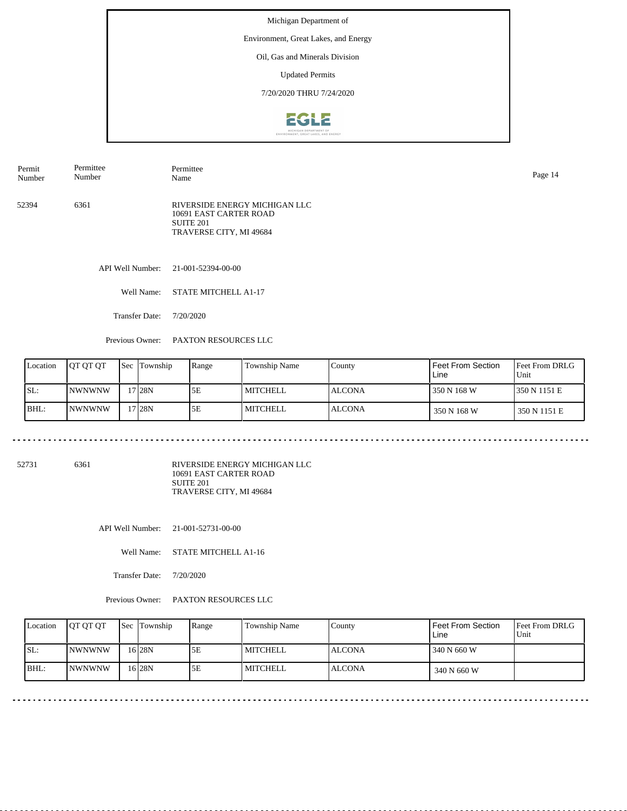Environment, Great Lakes, and Energy

Oil, Gas and Minerals Division

Updated Permits

7/20/2020 THRU 7/24/2020



52394 6361 RIVERSIDE ENERGY MICHIGAN LLC 10691 EAST CARTER ROAD SUITE 201 TRAVERSE CITY, MI 49684 Permit Number Permittee Number Permittee Name Page 14

API Well Number: 21-001-52394-00-00

Well Name: STATE MITCHELL A1-17

Transfer Date: 7/20/2020

المتحدث المتحدث المتحدث

Previous Owner: PAXTON RESOURCES LLC

| Location | <b>IOT OT OT</b> | <b>ISec Township</b> | Range | Township Name   | Countv        | Feet From Section<br>Line | <b>Feet From DRLG</b><br>Unit |
|----------|------------------|----------------------|-------|-----------------|---------------|---------------------------|-------------------------------|
| ISL:     | <b>INWNWNW</b>   | 17 28N               | 5E    | <b>MITCHELL</b> | <b>ALCONA</b> | 350 N 168 W               | 1350 N 1151 E                 |
| BHL:     | <b>INWNWNW</b>   | 17 <sub>128N</sub>   | 5E    | MITCHELL        | <b>ALCONA</b> | 350 N 168 W               | 350 N 1151 E                  |

52731 6361

RIVERSIDE ENERGY MICHIGAN LLC 10691 EAST CARTER ROAD SUITE 201 TRAVERSE CITY, MI 49684

API Well Number: 21-001-52731-00-00

Well Name: STATE MITCHELL A1-16

Transfer Date: 7/20/2020

Previous Owner: PAXTON RESOURCES LLC

| Location | <b>IOT OT OT</b> | <b>Sec Township</b> | Range | Township Name | County         | <b>Feet From Section</b><br>Line | <b>Feet From DRLG</b><br>l Unit |
|----------|------------------|---------------------|-------|---------------|----------------|----------------------------------|---------------------------------|
| SL:      | <b>INWNWNW</b>   | 16 I 28 N           | 5Ε    | MITCHELL      | <b>IALCONA</b> | 340 N 660 W                      |                                 |
| BHL:     | INWNWNW          | 16 28 N             | 5Ε    | MITCHELL      | <b>ALCONA</b>  | 340 N 660 W                      |                                 |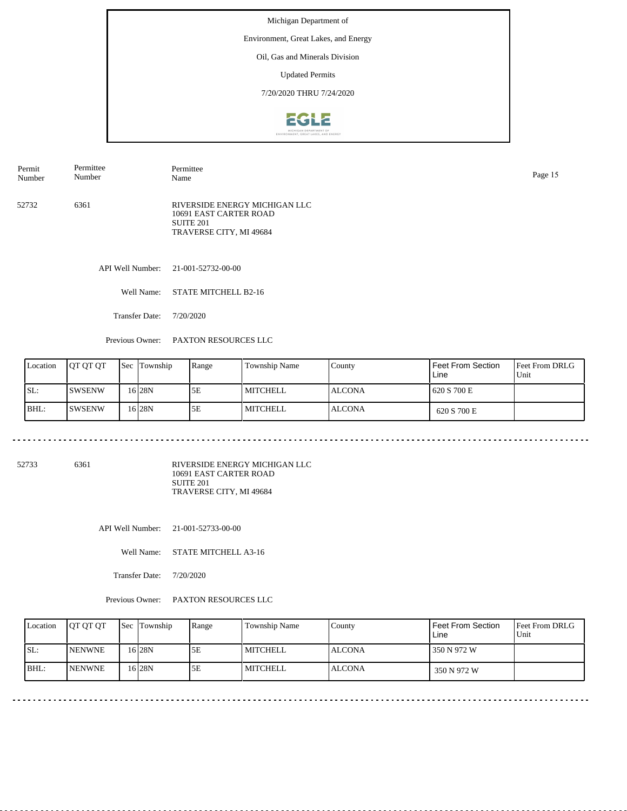Environment, Great Lakes, and Energy

Oil, Gas and Minerals Division

Updated Permits

7/20/2020 THRU 7/24/2020



| Permit | Permittee | Permittee                                                                                       | Page 15 |
|--------|-----------|-------------------------------------------------------------------------------------------------|---------|
| Number | Number    | Name                                                                                            |         |
| 52732  | 6361      | RIVERSIDE ENERGY MICHIGAN LLC<br>10691 EAST CARTER ROAD<br>SUITE 201<br>TRAVERSE CITY, MI 49684 |         |

API Well Number: 21-001-52732-00-00

Well Name: STATE MITCHELL B2-16

Transfer Date: 7/20/2020

المتحدث المتحدث المتحدث

Previous Owner: PAXTON RESOURCES LLC

| Location | <b>IOT OT OT</b> | <b>Sec</b> Township | Range | Township Name   | Countv        | Feet From Section<br>Line | <b>Feet From DRLG</b><br>Unit |
|----------|------------------|---------------------|-------|-----------------|---------------|---------------------------|-------------------------------|
| ISL:     | <b>ISWSENW</b>   | 16 I 28 N           | 5E    | MITCHELL        | <b>ALCONA</b> | 620 S 700 E               |                               |
| BHL:     | ISWSENW          | 16 I 28 N           | 5E    | <b>MITCHELL</b> | <b>ALCONA</b> | 620 S 700 E               |                               |

52733 6361

RIVERSIDE ENERGY MICHIGAN LLC 10691 EAST CARTER ROAD SUITE 201 TRAVERSE CITY, MI 49684

API Well Number: 21-001-52733-00-00

Well Name: STATE MITCHELL A3-16

Transfer Date: 7/20/2020

Previous Owner: PAXTON RESOURCES LLC

| Location | <b>IOT OT OT</b> | <b>Sec</b> Township | Range | Township Name | County         | Feet From Section<br>Line | <b>Feet From DRLG</b><br>l Unit |
|----------|------------------|---------------------|-------|---------------|----------------|---------------------------|---------------------------------|
| SL:      | <b>NENWNE</b>    | 16 28 N             | 5Ε    | l MITCHELL    | <b>IALCONA</b> | 350 N 972 W               |                                 |
| BHL:     | <b>NENWNE</b>    | 16 28N              | 5E    | l MITCHELL    | <b>ALCONA</b>  | 350 N 972 W               |                                 |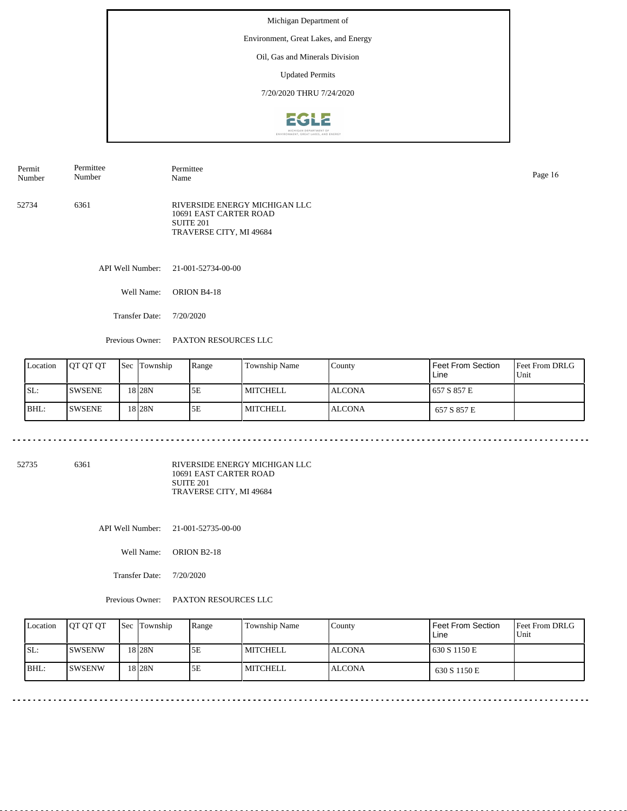Environment, Great Lakes, and Energy

Oil, Gas and Minerals Division

Updated Permits

7/20/2020 THRU 7/24/2020



| Permit<br>Number | Permittee<br>Number | Permittee<br>Name                                                                                      | Page 16 |
|------------------|---------------------|--------------------------------------------------------------------------------------------------------|---------|
| 52734            | 6361                | RIVERSIDE ENERGY MICHIGAN LLC<br>10691 EAST CARTER ROAD<br><b>SUITE 201</b><br>TRAVERSE CITY, MI 49684 |         |
|                  | API Well Number:    | 21-001-52734-00-00                                                                                     |         |

Well Name: ORION B4-18

Transfer Date: 7/20/2020

المتحدث المتحدث المتحدث

Previous Owner: PAXTON RESOURCES LLC

| Location | <b>OT OT OT</b> | <b>Sec Township</b> | Range | Township Name   | Countv        | Feet From Section<br>Line | <b>Feet From DRLG</b><br>Unit |
|----------|-----------------|---------------------|-------|-----------------|---------------|---------------------------|-------------------------------|
| ISL:     | <b>ISWSENE</b>  | 18 <sub>28N</sub>   | 5E    | <b>MITCHELL</b> | <b>ALCONA</b> | 657 S 857 E               |                               |
| BHL:     | <b>ISWSENE</b>  | 18 <sub>28N</sub>   | 5E    | <b>MITCHELL</b> | <b>ALCONA</b> | 657 S 857 E               |                               |

52735 6361

RIVERSIDE ENERGY MICHIGAN LLC 10691 EAST CARTER ROAD SUITE 201 TRAVERSE CITY, MI 49684

API Well Number: 21-001-52735-00-00

Well Name: ORION B2-18

Transfer Date: 7/20/2020

Previous Owner: PAXTON RESOURCES LLC

| Location | <b>IOT OT OT</b> | <b>Sec</b> Township | Range | Township Name | County         | Feet From Section<br>Line | <b>Feet From DRLG</b><br>l Unit |
|----------|------------------|---------------------|-------|---------------|----------------|---------------------------|---------------------------------|
| SL:      | ISWSENW          | 18 I 28 N           | 5Ε    | l MITCHELL    | <b>IALCONA</b> | 630 S 1150 E              |                                 |
| BHL:     | ISWSENW          | 18 28N              | 5E    | l MITCHELL    | <b>ALCONA</b>  | 630 S 1150 E              |                                 |

. . . . . . . . . . . . . .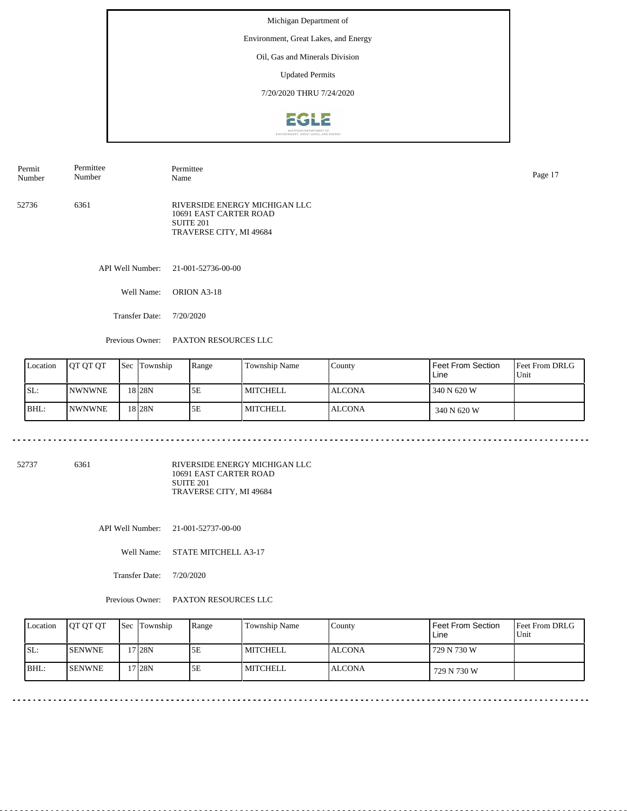Environment, Great Lakes, and Energy

Oil, Gas and Minerals Division

Updated Permits

7/20/2020 THRU 7/24/2020



| Permit<br>Number | Permittee<br>Number | Permittee<br>Name                                                                               | Page 17 |
|------------------|---------------------|-------------------------------------------------------------------------------------------------|---------|
| 52736            | 6361                | RIVERSIDE ENERGY MICHIGAN LLC<br>10691 EAST CARTER ROAD<br>SUITE 201<br>TRAVERSE CITY, MI 49684 |         |

API Well Number: 21-001-52736-00-00

Well Name: ORION A3-18

Transfer Date: 7/20/2020

المتحدث المتحدث المتحدث

Previous Owner: PAXTON RESOURCES LLC

| Location | <b>IOT OT OT</b> | <b>Sec</b> Township | Range | Township Name   | Countv        | Feet From Section<br>Line | <b>Feet From DRLG</b><br>Unit |
|----------|------------------|---------------------|-------|-----------------|---------------|---------------------------|-------------------------------|
| ISL:     | <b>INWNWNE</b>   | 18 <sub>28N</sub>   | 5E    | MITCHELL        | <b>ALCONA</b> | 340 N 620 W               |                               |
| BHL:     | <b>INWNWNE</b>   | 18 28 N             | 5E    | <b>MITCHELL</b> | <b>ALCONA</b> | 340 N 620 W               |                               |

52737 6361

RIVERSIDE ENERGY MICHIGAN LLC 10691 EAST CARTER ROAD SUITE 201 TRAVERSE CITY, MI 49684

API Well Number: 21-001-52737-00-00

Well Name: STATE MITCHELL A3-17

Transfer Date: 7/20/2020

Previous Owner: PAXTON RESOURCES LLC

| Location | <b>IOT OT OT</b> | <b>Sec</b> Township | Range | Township Name | County         | Feet From Section<br>Line | <b>Feet From DRLG</b><br>l Unit |
|----------|------------------|---------------------|-------|---------------|----------------|---------------------------|---------------------------------|
| SL:      | <b>ISENWNE</b>   | 7 <sub>28N</sub>    | 5Ε    | l MITCHELL    | <b>IALCONA</b> | 729 N 730 W               |                                 |
| BHL:     | <b>ISENWNE</b>   | 7 <sub>128</sub> N  | 5E    | l MITCHELL    | <b>ALCONA</b>  | 729 N 730 W               |                                 |